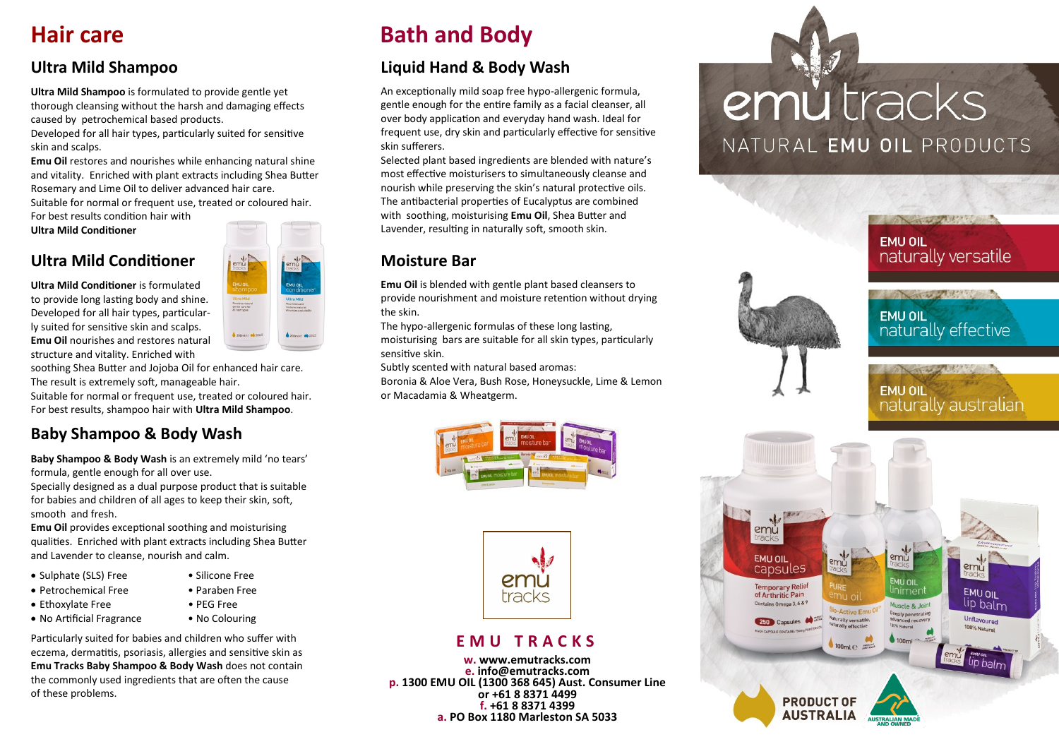### **Hair care**

### **Ultra Mild Shampoo**

**Ultra Mild Shampoo** is formulated to provide gentle yet thorough cleansing without the harsh and damaging effects caused by petrochemical based products.

Developed for all hair types, particularly suited for sensitive skin and scalps.

**Emu Oil** restores and nourishes while enhancing natural shine and vitality. Enriched with plant extracts including Shea Butter Rosemary and Lime Oil to deliver advanced hair care.

Suitable for normal or frequent use, treated or coloured hair. For best results condition hair with

**Ultra Mild Conditioner** 

### **Ultra Mild Conditioner**

**Ultra Mild Conditioner** is formulated to provide long lasting body and shine. Developed for all hair types, particularly suited for sensitive skin and scalps. **Emu Oil** nourishes and restores natural structure and vitality. Enriched with

soothing Shea Butter and Jojoba Oil for enhanced hair care. The result is extremely soft, manageable hair.

Suitable for normal or frequent use, treated or coloured hair. For best results, shampoo hair with **Ultra Mild Shampoo**.

### **Baby Shampoo & Body Wash**

**Baby Shampoo & Body Wash** is an extremely mild 'no tears' formula, gentle enough for all over use.

Specially designed as a dual purpose product that is suitable for babies and children of all ages to keep their skin, soft, smooth and fresh.

**Emu Oil** provides exceptional soothing and moisturising qualities. Enriched with plant extracts including Shea Butter and Lavender to cleanse, nourish and calm.

- Sulphate (SLS) Free Silicone Free
- Petrochemical Free Paraben Free
- Ethoxylate Free PEG Free
- No Artificial Fragrance No Colouring
- 

Particularly suited for babies and children who suffer with eczema, dermatitis, psoriasis, allergies and sensitive skin as **Emu Tracks Baby Shampoo & Body Wash** does not contain the commonly used ingredients that are often the cause of these problems.

# **Bath and Body**

### **Liquid Hand & Body Wash**

An exceptionally mild soap free hypo-allergenic formula, gentle enough for the entire family as a facial cleanser, all over body application and everyday hand wash. Ideal for frequent use, dry skin and particularly effective for sensitive skin sufferers.

Selected plant based ingredients are blended with nature's most effective moisturisers to simultaneously cleanse and nourish while preserving the skin's natural protective oils. The antibacterial properties of Eucalyptus are combined with soothing, moisturising **Emu Oil**, Shea Butter and Lavender, resulting in naturally soft, smooth skin.

### **Moisture Bar**

**Emu Oil** is blended with gentle plant based cleansers to provide nourishment and moisture retention without drying the skin.

The hypo-allergenic formulas of these long lasting, moisturising bars are suitable for all skin types, particularly sensitive skin.

Subtly scented with natural based aromas: Boronia & Aloe Vera, Bush Rose, Honeysuckle, Lime & Lemon or Macadamia & Wheatgerm.





#### **E M U T R A C K S**

**w. www.emutracks.com e. info@emutracks.com p. 1300 EMU OIL (1300 368 645) Aust. Consumer Line or +61 8 8371 4499 f. +61 8 8371 4399 a. PO Box 1180 Marleston SA 5033**

# emù tracks NATURAL EMU OIL PRODUCTS



:mů

**EMU OIL** 

linimer

Muscle & Joir

 $100m$ 

**EMU OIL** 

Unflavoured

100% Natural

lip baln

lip balm

emů

0-Active Emu

 $100m1e$ 

**PRODUCT OF AUSTRALIA** 

laturally versatil

**EMU OIL** 

capsules

Temporary Relief<br>of Arthritic Pain

Contains Omega 3, 6 & 9